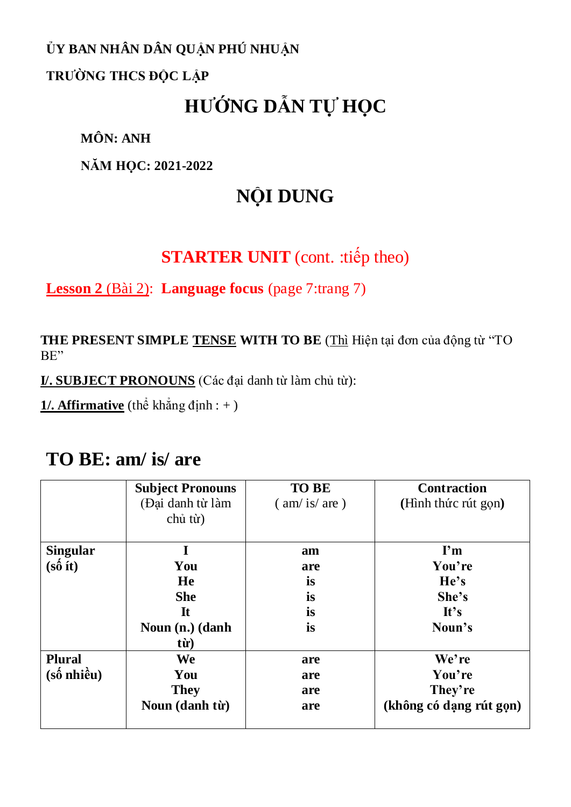### **ỦY BAN NHÂN DÂN QUẬN PHÚ NHUẬN**

### **TRƯỜNG THCS ĐỘC LẬP**

# **HƯỚNG DẪN TỰ HỌC**

**MÔN: ANH**

**NĂM HỌC: 2021-2022**

# **NỘI DUNG**

## **STARTER UNIT** (cont. :tiếp theo)

**Lesson 2** (Bài 2): **Language focus** (page 7:trang 7)

**THE PRESENT SIMPLE TENSE WITH TO BE** (Thì Hiện tại đơn của động từ "TO BE"

**I/. SUBJECT PRONOUNS** (Các đại danh từ làm chủ từ):

**1/. Affirmative** (thể khẳng định : + )

### **TO BE: am/ is/ are**

|                                                                 | <b>Subject Pronouns</b><br>(Đại danh từ làm<br>chủ từ) | <b>TO BE</b><br>$\frac{\text{am}}{\text{is}}$ are ) | <b>Contraction</b><br>(Hình thức rút gọn) |
|-----------------------------------------------------------------|--------------------------------------------------------|-----------------------------------------------------|-------------------------------------------|
| <b>Singular</b>                                                 |                                                        | am                                                  | $\mathbf{I}^{\prime}$ m                   |
| $(s\acute{\hat{o}}\text{ } \acute{\text{t}}t)$                  | You                                                    | are                                                 | You're                                    |
|                                                                 | He                                                     | is                                                  | He's                                      |
|                                                                 | <b>She</b>                                             | is                                                  | She's                                     |
|                                                                 | $\bf{I}$ t                                             | is                                                  | It's                                      |
|                                                                 | Noun (n.) (danh                                        | is                                                  | Noun's                                    |
|                                                                 | từ)                                                    |                                                     |                                           |
| <b>Plural</b>                                                   | We                                                     | are                                                 | We're                                     |
| $(s\acute{\text{o}}\text{ nhi}\mathrm{\mathring{e}}\mathrm{u})$ | You                                                    | are                                                 | You're                                    |
|                                                                 | <b>They</b>                                            | are                                                 | They're                                   |
|                                                                 | Noun (danh từ)                                         | are                                                 | (không có dạng rút gọn)                   |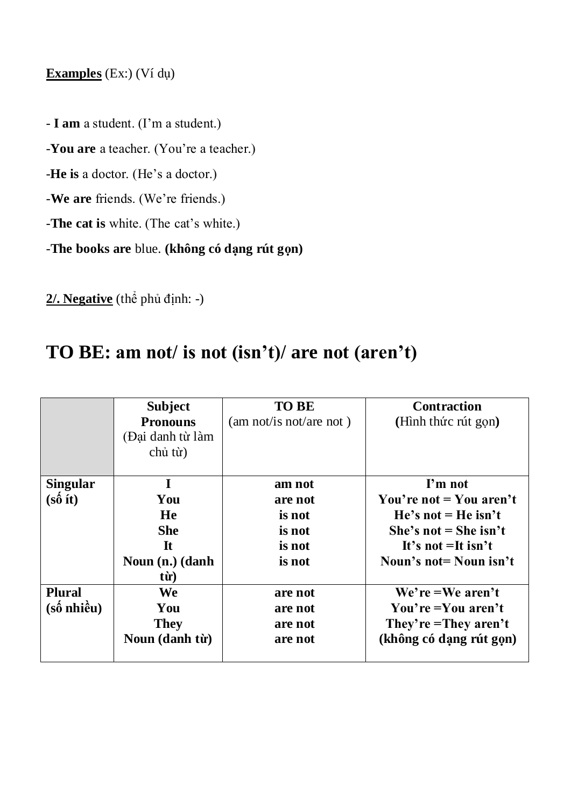### **Examples** (Ex:) (Ví dụ)

- **I am** a student. (I'm a student.)

-**You are** a teacher. (You're a teacher.)

-**He is** a doctor. (He's a doctor.)

-**We are** friends. (We're friends.)

-**The cat is** white. (The cat's white.)

-**The books are** blue. **(không có dạng rút gọn)**

**2/. Negative** (thể phủ định: -)

## **TO BE: am not/ is not (isn't)/ are not (aren't)**

|                                                | <b>Subject</b><br><b>Pronouns</b><br>(Đại danh từ làm<br>chủ từ) | <b>TO BE</b><br>(am not/is not/are not) | <b>Contraction</b><br>(Hình thức rút gọn) |
|------------------------------------------------|------------------------------------------------------------------|-----------------------------------------|-------------------------------------------|
| <b>Singular</b>                                | I                                                                | am not                                  | I'm not                                   |
| $(s\hat{\mathbf{o}}\text{ } \hat{\mathbf{t}})$ | You                                                              | are not                                 | You're not $=$ You aren't                 |
|                                                | He                                                               | is not                                  | $He's not = He isn't$                     |
|                                                | <b>She</b>                                                       | is not                                  | She's not = She isn't                     |
|                                                | It                                                               | is not                                  | It's not $=$ It isn't                     |
|                                                | Noun $(n.)$ (danh)                                               | is not                                  | Noun's not = Noun isn't                   |
|                                                | từ)                                                              |                                         |                                           |
| <b>Plural</b>                                  | <b>We</b>                                                        | are not                                 | $We're = We aren't$                       |
| $(s\acute{\text{o}}$ nhiều)                    | You                                                              | are not                                 | You're $=$ You aren't                     |
|                                                | <b>They</b>                                                      | are not                                 | They're = They aren't                     |
|                                                | Noun (danh từ)                                                   | are not                                 | (không có dạng rút gọn)                   |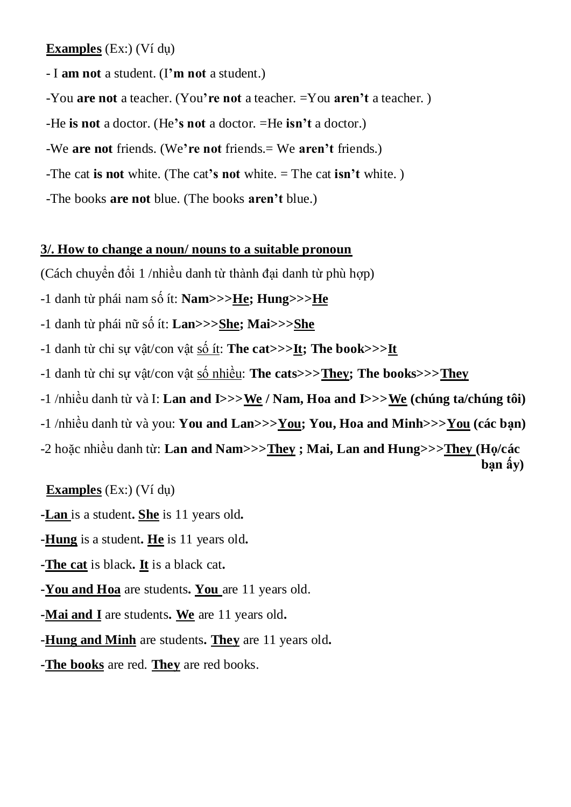**Examples** (Ex:) (Ví dụ)

- I **am not** a student. (I**'m not** a student.)

-You **are not** a teacher. (You**'re not** a teacher. =You **aren't** a teacher. )

-He **is not** a doctor. (He**'s not** a doctor. =He **isn't** a doctor.)

-We **are not** friends. (We**'re not** friends.= We **aren't** friends.)

-The cat **is not** white. (The cat**'s not** white. = The cat **isn't** white. )

-The books **are not** blue. (The books **aren't** blue.)

### **3/. How to change a noun/ nouns to a suitable pronoun**

(Cách chuyển đổi 1 /nhiều danh từ thành đại danh từ phù hợp)

-1 danh từ phái nam số ít: **Nam>>>He; Hung>>>He**

-1 danh từ phái nữ số ít: **Lan>>>She; Mai>>>She**

-1 danh từ chỉ sự vật/con vật số ít: **The cat>>>It; The book>>>It**

-1 danh từ chỉ sự vật/con vật số nhiều: **The cats>>>They; The books>>>They**

-1 /nhiều danh từ và I: **Lan and I>>>We / Nam, Hoa and I>>>We (chúng ta/chúng tôi)**

-1 /nhiều danh từ và you: **You and Lan>>>You; You, Hoa and Minh>>>You (các bạn)**

-2 hoặc nhiều danh từ: **Lan and Nam>>>They ; Mai, Lan and Hung>>>They (Họ/các bạn ấy)**

**Examples** (Ex:) (Ví dụ)

**-Lan** is a student**. She** is 11 years old**.**

**-Hung** is a student**. He** is 11 years old**.**

**-The cat** is black**. It** is a black cat**.**

**-You and Hoa** are students**. You** are 11 years old.

**-Mai and I** are students**. We** are 11 years old**.**

**-Hung and Minh** are students**. They** are 11 years old**.**

**-The books** are red. **They** are red books.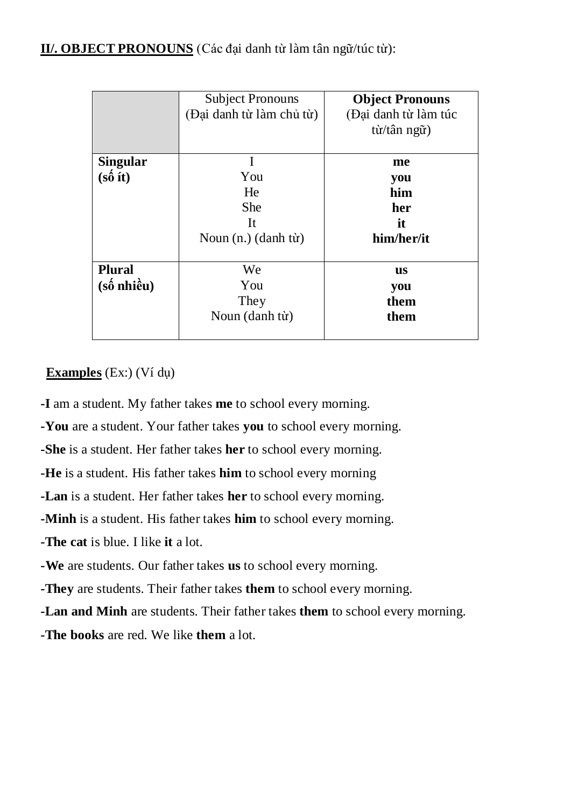**II/. OBJECT PRONOUNS** (Các đại danh từ làm tân ngữ/túc từ):

|                                                          | <b>Subject Pronouns</b><br>(Đại danh từ làm chủ từ)           | <b>Object Pronouns</b><br>(Đại danh từ làm túc<br>từ/tân ngữ) |
|----------------------------------------------------------|---------------------------------------------------------------|---------------------------------------------------------------|
| <b>Singular</b><br>$(s\hat{\theta}$ ít)                  | I<br>You<br>He<br><b>She</b><br>It<br>Noun $(n.)$ $(danh tv)$ | me<br>you<br>him<br>her<br>it<br>him/her/it                   |
| <b>Plural</b><br>$(s\acute{\text{o}}\ \text{nhi\`{eu}})$ | We<br>You<br>They<br>Noun (danh từ)                           | us<br>you<br>them<br>them                                     |

### **Examples** (Ex:) (Ví dụ)

**-I** am a student. My father takes **me** to school every morning.

**-You** are a student. Your father takes **you** to school every morning.

**-She** is a student. Her father takes **her** to school every morning.

**-He** is a student. His father takes **him** to school every morning

**-Lan** is a student. Her father takes **her** to school every morning.

**-Minh** is a student. His father takes **him** to school every morning.

**-The cat** is blue. I like **it** a lot.

**-We** are students. Our father takes **us** to school every morning.

**-They** are students. Their father takes **them** to school every morning.

**-Lan and Minh** are students. Their father takes **them** to school every morning.

**-The books** are red. We like **them** a lot.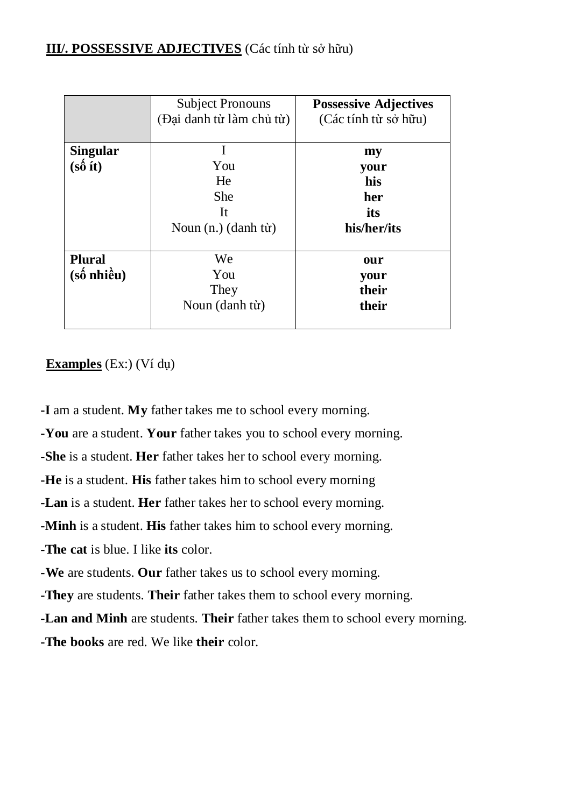#### **III/. POSSESSIVE ADJECTIVES** (Các tính từ sở hữu)

|                                                                   | <b>Subject Pronouns</b><br>(Đại danh từ làm chủ từ)       | <b>Possessive Adjectives</b><br>(Các tính từ sở hữu) |
|-------------------------------------------------------------------|-----------------------------------------------------------|------------------------------------------------------|
| <b>Singular</b><br>$(s\hat{\mathbf{o}}\text{ } \hat{\mathbf{t}})$ | I<br>You<br>He<br><b>She</b><br>It<br>Noun (n.) (danh từ) | my<br>your<br>his<br>her<br>its<br>his/her/its       |
| <b>Plural</b><br>$(s\acute{\text{o}}\text{ nhi\`{e}u})$           | We<br>You<br>They<br>Noun (danh từ)                       | our<br>your<br>their<br>their                        |

#### **Examples** (Ex:) (Ví dụ)

**-I** am a student. **My** father takes me to school every morning.

**-You** are a student. **Your** father takes you to school every morning.

**-She** is a student. **Her** father takes her to school every morning.

**-He** is a student. **His** father takes him to school every morning

**-Lan** is a student. **Her** father takes her to school every morning.

**-Minh** is a student. **His** father takes him to school every morning.

**-The cat** is blue. I like **its** color.

**-We** are students. **Our** father takes us to school every morning.

**-They** are students. **Their** father takes them to school every morning.

**-Lan and Minh** are students. **Their** father takes them to school every morning.

**-The books** are red. We like **their** color.